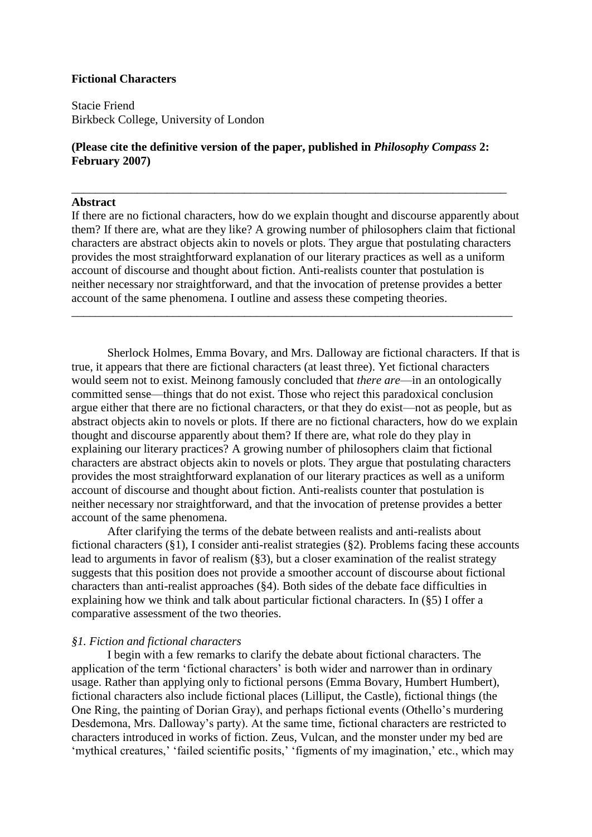# **Fictional Characters**

Stacie Friend Birkbeck College, University of London

## **(Please cite the definitive version of the paper, published in** *Philosophy Compass* **2: February 2007)**

\_\_\_\_\_\_\_\_\_\_\_\_\_\_\_\_\_\_\_\_\_\_\_\_\_\_\_\_\_\_\_\_\_\_\_\_\_\_\_\_\_\_\_\_\_\_\_\_\_\_\_\_\_\_\_\_\_\_\_\_\_\_\_\_\_\_\_\_\_\_\_\_\_

#### **Abstract**

If there are no fictional characters, how do we explain thought and discourse apparently about them? If there are, what are they like? A growing number of philosophers claim that fictional characters are abstract objects akin to novels or plots. They argue that postulating characters provides the most straightforward explanation of our literary practices as well as a uniform account of discourse and thought about fiction. Anti-realists counter that postulation is neither necessary nor straightforward, and that the invocation of pretense provides a better account of the same phenomena. I outline and assess these competing theories.

\_\_\_\_\_\_\_\_\_\_\_\_\_\_\_\_\_\_\_\_\_\_\_\_\_\_\_\_\_\_\_\_\_\_\_\_\_\_\_\_\_\_\_\_\_\_\_\_\_\_\_\_\_\_\_\_\_\_\_\_\_\_\_\_\_\_\_\_\_\_\_\_\_\_

Sherlock Holmes, Emma Bovary, and Mrs. Dalloway are fictional characters. If that is true, it appears that there are fictional characters (at least three). Yet fictional characters would seem not to exist. Meinong famously concluded that *there are*—in an ontologically committed sense—things that do not exist. Those who reject this paradoxical conclusion argue either that there are no fictional characters, or that they do exist—not as people, but as abstract objects akin to novels or plots. If there are no fictional characters, how do we explain thought and discourse apparently about them? If there are, what role do they play in explaining our literary practices? A growing number of philosophers claim that fictional characters are abstract objects akin to novels or plots. They argue that postulating characters provides the most straightforward explanation of our literary practices as well as a uniform account of discourse and thought about fiction. Anti-realists counter that postulation is neither necessary nor straightforward, and that the invocation of pretense provides a better account of the same phenomena.

After clarifying the terms of the debate between realists and anti-realists about fictional characters (§1), I consider anti-realist strategies (§2). Problems facing these accounts lead to arguments in favor of realism (§3), but a closer examination of the realist strategy suggests that this position does not provide a smoother account of discourse about fictional characters than anti-realist approaches (§4). Both sides of the debate face difficulties in explaining how we think and talk about particular fictional characters. In (§5) I offer a comparative assessment of the two theories.

### *§1. Fiction and fictional characters*

I begin with a few remarks to clarify the debate about fictional characters. The application of the term 'fictional characters' is both wider and narrower than in ordinary usage. Rather than applying only to fictional persons (Emma Bovary, Humbert Humbert), fictional characters also include fictional places (Lilliput, the Castle), fictional things (the One Ring, the painting of Dorian Gray), and perhaps fictional events (Othello"s murdering Desdemona, Mrs. Dalloway"s party). At the same time, fictional characters are restricted to characters introduced in works of fiction. Zeus, Vulcan, and the monster under my bed are "mythical creatures," "failed scientific posits," "figments of my imagination," etc., which may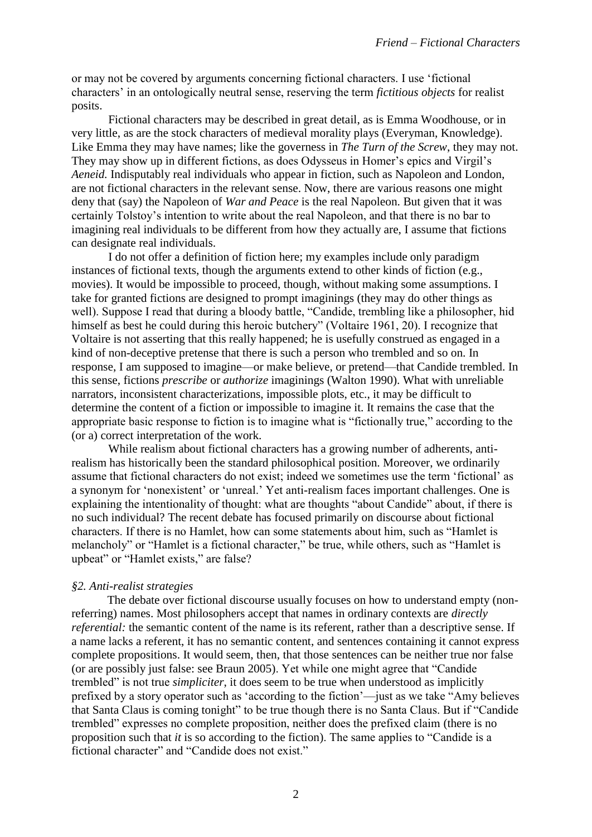or may not be covered by arguments concerning fictional characters. I use "fictional characters" in an ontologically neutral sense, reserving the term *fictitious objects* for realist posits.

Fictional characters may be described in great detail, as is Emma Woodhouse, or in very little, as are the stock characters of medieval morality plays (Everyman, Knowledge). Like Emma they may have names; like the governess in *The Turn of the Screw*, they may not. They may show up in different fictions, as does Odysseus in Homer's epics and Virgil's *Aeneid.* Indisputably real individuals who appear in fiction, such as Napoleon and London, are not fictional characters in the relevant sense. Now, there are various reasons one might deny that (say) the Napoleon of *War and Peace* is the real Napoleon. But given that it was certainly Tolstoy"s intention to write about the real Napoleon, and that there is no bar to imagining real individuals to be different from how they actually are, I assume that fictions can designate real individuals.

I do not offer a definition of fiction here; my examples include only paradigm instances of fictional texts, though the arguments extend to other kinds of fiction (e.g., movies). It would be impossible to proceed, though, without making some assumptions. I take for granted fictions are designed to prompt imaginings (they may do other things as well). Suppose I read that during a bloody battle, "Candide, trembling like a philosopher, hid himself as best he could during this heroic butchery" (Voltaire 1961, 20). I recognize that Voltaire is not asserting that this really happened; he is usefully construed as engaged in a kind of non-deceptive pretense that there is such a person who trembled and so on. In response, I am supposed to imagine—or make believe, or pretend—that Candide trembled. In this sense, fictions *prescribe* or *authorize* imaginings (Walton 1990). What with unreliable narrators, inconsistent characterizations, impossible plots, etc., it may be difficult to determine the content of a fiction or impossible to imagine it. It remains the case that the appropriate basic response to fiction is to imagine what is "fictionally true," according to the (or a) correct interpretation of the work.

While realism about fictional characters has a growing number of adherents, antirealism has historically been the standard philosophical position. Moreover, we ordinarily assume that fictional characters do not exist; indeed we sometimes use the term "fictional" as a synonym for 'nonexistent' or 'unreal.' Yet anti-realism faces important challenges. One is explaining the intentionality of thought: what are thoughts "about Candide" about, if there is no such individual? The recent debate has focused primarily on discourse about fictional characters. If there is no Hamlet, how can some statements about him, such as "Hamlet is melancholy" or "Hamlet is a fictional character," be true, while others, such as "Hamlet is upbeat" or "Hamlet exists," are false?

### *§2. Anti-realist strategies*

The debate over fictional discourse usually focuses on how to understand empty (nonreferring) names. Most philosophers accept that names in ordinary contexts are *directly referential:* the semantic content of the name is its referent, rather than a descriptive sense. If a name lacks a referent, it has no semantic content, and sentences containing it cannot express complete propositions. It would seem, then, that those sentences can be neither true nor false (or are possibly just false: see Braun 2005). Yet while one might agree that "Candide trembled" is not true *simpliciter*, it does seem to be true when understood as implicitly prefixed by a story operator such as "according to the fiction"—just as we take "Amy believes that Santa Claus is coming tonight" to be true though there is no Santa Claus. But if "Candide trembled" expresses no complete proposition, neither does the prefixed claim (there is no proposition such that *it* is so according to the fiction). The same applies to "Candide is a fictional character" and "Candide does not exist."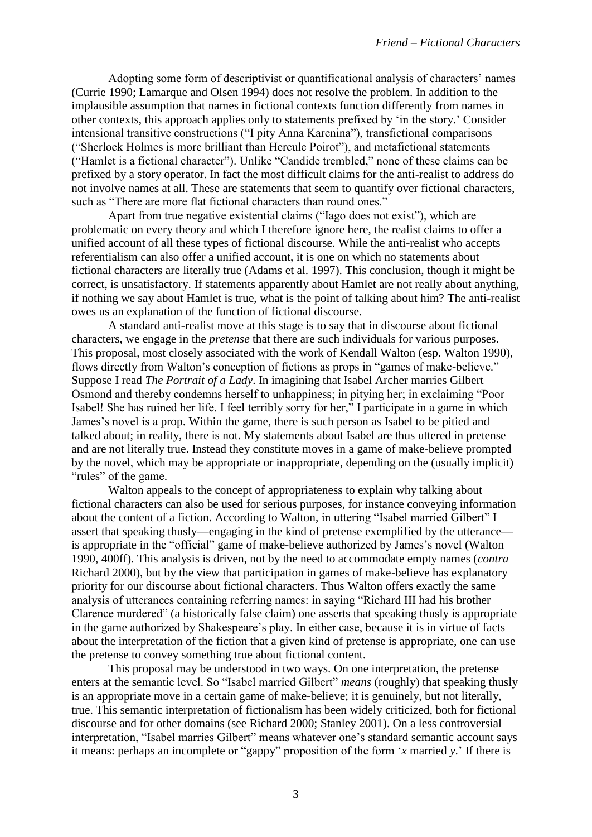Adopting some form of descriptivist or quantificational analysis of characters" names (Currie 1990; Lamarque and Olsen 1994) does not resolve the problem. In addition to the implausible assumption that names in fictional contexts function differently from names in other contexts, this approach applies only to statements prefixed by "in the story." Consider intensional transitive constructions ("I pity Anna Karenina"), transfictional comparisons ("Sherlock Holmes is more brilliant than Hercule Poirot"), and metafictional statements ("Hamlet is a fictional character"). Unlike "Candide trembled," none of these claims can be prefixed by a story operator. In fact the most difficult claims for the anti-realist to address do not involve names at all. These are statements that seem to quantify over fictional characters, such as "There are more flat fictional characters than round ones."

Apart from true negative existential claims ("Iago does not exist"), which are problematic on every theory and which I therefore ignore here, the realist claims to offer a unified account of all these types of fictional discourse. While the anti-realist who accepts referentialism can also offer a unified account, it is one on which no statements about fictional characters are literally true (Adams et al. 1997). This conclusion, though it might be correct, is unsatisfactory. If statements apparently about Hamlet are not really about anything, if nothing we say about Hamlet is true, what is the point of talking about him? The anti-realist owes us an explanation of the function of fictional discourse.

A standard anti-realist move at this stage is to say that in discourse about fictional characters, we engage in the *pretense* that there are such individuals for various purposes. This proposal, most closely associated with the work of Kendall Walton (esp. Walton 1990), flows directly from Walton"s conception of fictions as props in "games of make-believe." Suppose I read *The Portrait of a Lady*. In imagining that Isabel Archer marries Gilbert Osmond and thereby condemns herself to unhappiness; in pitying her; in exclaiming "Poor Isabel! She has ruined her life. I feel terribly sorry for her," I participate in a game in which James"s novel is a prop. Within the game, there is such person as Isabel to be pitied and talked about; in reality, there is not. My statements about Isabel are thus uttered in pretense and are not literally true. Instead they constitute moves in a game of make-believe prompted by the novel, which may be appropriate or inappropriate, depending on the (usually implicit) "rules" of the game.

Walton appeals to the concept of appropriateness to explain why talking about fictional characters can also be used for serious purposes, for instance conveying information about the content of a fiction. According to Walton, in uttering "Isabel married Gilbert" I assert that speaking thusly—engaging in the kind of pretense exemplified by the utterance is appropriate in the "official" game of make-believe authorized by James's novel (Walton 1990, 400ff). This analysis is driven, not by the need to accommodate empty names (*contra* Richard 2000), but by the view that participation in games of make-believe has explanatory priority for our discourse about fictional characters. Thus Walton offers exactly the same analysis of utterances containing referring names: in saying "Richard III had his brother Clarence murdered" (a historically false claim) one asserts that speaking thusly is appropriate in the game authorized by Shakespeare"s play. In either case, because it is in virtue of facts about the interpretation of the fiction that a given kind of pretense is appropriate, one can use the pretense to convey something true about fictional content.

This proposal may be understood in two ways. On one interpretation, the pretense enters at the semantic level. So "Isabel married Gilbert" *means* (roughly) that speaking thusly is an appropriate move in a certain game of make-believe; it is genuinely, but not literally, true. This semantic interpretation of fictionalism has been widely criticized, both for fictional discourse and for other domains (see Richard 2000; Stanley 2001). On a less controversial interpretation, "Isabel marries Gilbert" means whatever one"s standard semantic account says it means: perhaps an incomplete or "gappy" proposition of the form "*x* married *y*." If there is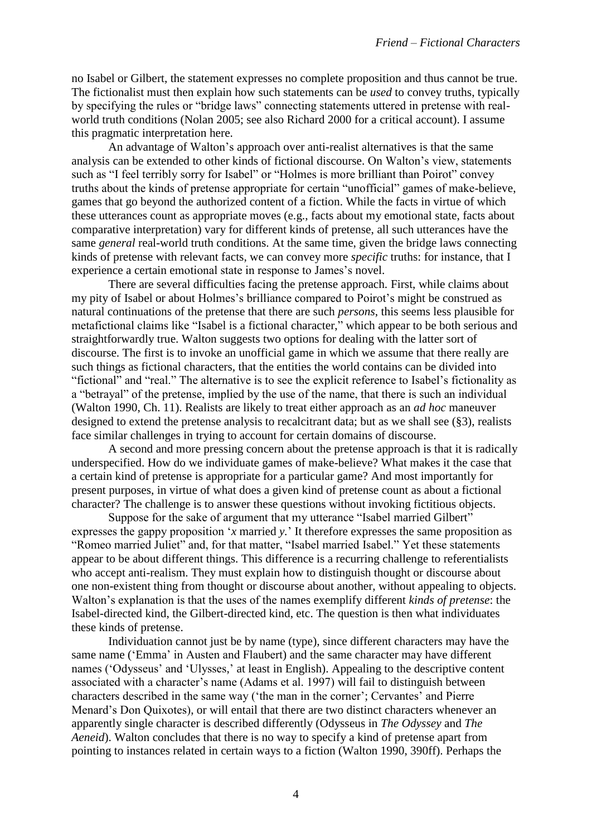no Isabel or Gilbert, the statement expresses no complete proposition and thus cannot be true. The fictionalist must then explain how such statements can be *used* to convey truths, typically by specifying the rules or "bridge laws" connecting statements uttered in pretense with realworld truth conditions (Nolan 2005; see also Richard 2000 for a critical account). I assume this pragmatic interpretation here.

An advantage of Walton"s approach over anti-realist alternatives is that the same analysis can be extended to other kinds of fictional discourse. On Walton"s view, statements such as "I feel terribly sorry for Isabel" or "Holmes is more brilliant than Poirot" convey truths about the kinds of pretense appropriate for certain "unofficial" games of make-believe, games that go beyond the authorized content of a fiction. While the facts in virtue of which these utterances count as appropriate moves (e.g., facts about my emotional state, facts about comparative interpretation) vary for different kinds of pretense, all such utterances have the same *general* real-world truth conditions. At the same time, given the bridge laws connecting kinds of pretense with relevant facts, we can convey more *specific* truths: for instance, that I experience a certain emotional state in response to James's novel.

There are several difficulties facing the pretense approach. First, while claims about my pity of Isabel or about Holmes"s brilliance compared to Poirot"s might be construed as natural continuations of the pretense that there are such *persons*, this seems less plausible for metafictional claims like "Isabel is a fictional character," which appear to be both serious and straightforwardly true. Walton suggests two options for dealing with the latter sort of discourse. The first is to invoke an unofficial game in which we assume that there really are such things as fictional characters, that the entities the world contains can be divided into "fictional" and "real." The alternative is to see the explicit reference to Isabel"s fictionality as a "betrayal" of the pretense, implied by the use of the name, that there is such an individual (Walton 1990, Ch. 11). Realists are likely to treat either approach as an *ad hoc* maneuver designed to extend the pretense analysis to recalcitrant data; but as we shall see (§3), realists face similar challenges in trying to account for certain domains of discourse.

A second and more pressing concern about the pretense approach is that it is radically underspecified. How do we individuate games of make-believe? What makes it the case that a certain kind of pretense is appropriate for a particular game? And most importantly for present purposes, in virtue of what does a given kind of pretense count as about a fictional character? The challenge is to answer these questions without invoking fictitious objects.

Suppose for the sake of argument that my utterance "Isabel married Gilbert" expresses the gappy proposition "*x* married *y.*" It therefore expresses the same proposition as "Romeo married Juliet" and, for that matter, "Isabel married Isabel." Yet these statements appear to be about different things. This difference is a recurring challenge to referentialists who accept anti-realism. They must explain how to distinguish thought or discourse about one non-existent thing from thought or discourse about another, without appealing to objects. Walton"s explanation is that the uses of the names exemplify different *kinds of pretense*: the Isabel-directed kind, the Gilbert-directed kind, etc. The question is then what individuates these kinds of pretense.

Individuation cannot just be by name (type), since different characters may have the same name ('Emma' in Austen and Flaubert) and the same character may have different names ('Odysseus' and 'Ulysses,' at least in English). Appealing to the descriptive content associated with a character's name (Adams et al. 1997) will fail to distinguish between characters described in the same way ('the man in the corner'; Cervantes' and Pierre Menard"s Don Quixotes), or will entail that there are two distinct characters whenever an apparently single character is described differently (Odysseus in *The Odyssey* and *The Aeneid*). Walton concludes that there is no way to specify a kind of pretense apart from pointing to instances related in certain ways to a fiction (Walton 1990, 390ff). Perhaps the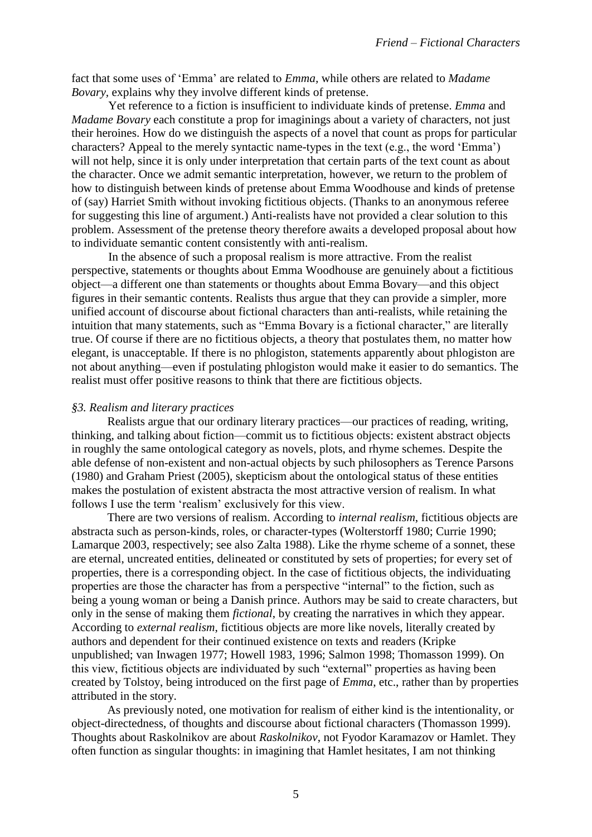fact that some uses of "Emma" are related to *Emma,* while others are related to *Madame Bovary,* explains why they involve different kinds of pretense.

Yet reference to a fiction is insufficient to individuate kinds of pretense. *Emma* and *Madame Bovary* each constitute a prop for imaginings about a variety of characters, not just their heroines. How do we distinguish the aspects of a novel that count as props for particular characters? Appeal to the merely syntactic name-types in the text (e.g., the word "Emma") will not help, since it is only under interpretation that certain parts of the text count as about the character. Once we admit semantic interpretation, however, we return to the problem of how to distinguish between kinds of pretense about Emma Woodhouse and kinds of pretense of (say) Harriet Smith without invoking fictitious objects. (Thanks to an anonymous referee for suggesting this line of argument.) Anti-realists have not provided a clear solution to this problem. Assessment of the pretense theory therefore awaits a developed proposal about how to individuate semantic content consistently with anti-realism.

In the absence of such a proposal realism is more attractive. From the realist perspective, statements or thoughts about Emma Woodhouse are genuinely about a fictitious object—a different one than statements or thoughts about Emma Bovary—and this object figures in their semantic contents. Realists thus argue that they can provide a simpler, more unified account of discourse about fictional characters than anti-realists, while retaining the intuition that many statements, such as "Emma Bovary is a fictional character," are literally true. Of course if there are no fictitious objects, a theory that postulates them, no matter how elegant, is unacceptable. If there is no phlogiston, statements apparently about phlogiston are not about anything—even if postulating phlogiston would make it easier to do semantics. The realist must offer positive reasons to think that there are fictitious objects.

#### *§3. Realism and literary practices*

Realists argue that our ordinary literary practices—our practices of reading, writing, thinking, and talking about fiction—commit us to fictitious objects: existent abstract objects in roughly the same ontological category as novels, plots, and rhyme schemes. Despite the able defense of non-existent and non-actual objects by such philosophers as Terence Parsons (1980) and Graham Priest (2005), skepticism about the ontological status of these entities makes the postulation of existent abstracta the most attractive version of realism. In what follows I use the term "realism" exclusively for this view.

There are two versions of realism. According to *internal realism*, fictitious objects are abstracta such as person-kinds, roles, or character-types (Wolterstorff 1980; Currie 1990; Lamarque 2003, respectively; see also Zalta 1988). Like the rhyme scheme of a sonnet, these are eternal, uncreated entities, delineated or constituted by sets of properties; for every set of properties, there is a corresponding object. In the case of fictitious objects, the individuating properties are those the character has from a perspective "internal" to the fiction, such as being a young woman or being a Danish prince. Authors may be said to create characters, but only in the sense of making them *fictional*, by creating the narratives in which they appear. According to *external realism*, fictitious objects are more like novels, literally created by authors and dependent for their continued existence on texts and readers (Kripke unpublished; van Inwagen 1977; Howell 1983, 1996; Salmon 1998; Thomasson 1999). On this view, fictitious objects are individuated by such "external" properties as having been created by Tolstoy, being introduced on the first page of *Emma*, etc., rather than by properties attributed in the story.

As previously noted, one motivation for realism of either kind is the intentionality, or object-directedness, of thoughts and discourse about fictional characters (Thomasson 1999). Thoughts about Raskolnikov are about *Raskolnikov*, not Fyodor Karamazov or Hamlet. They often function as singular thoughts: in imagining that Hamlet hesitates, I am not thinking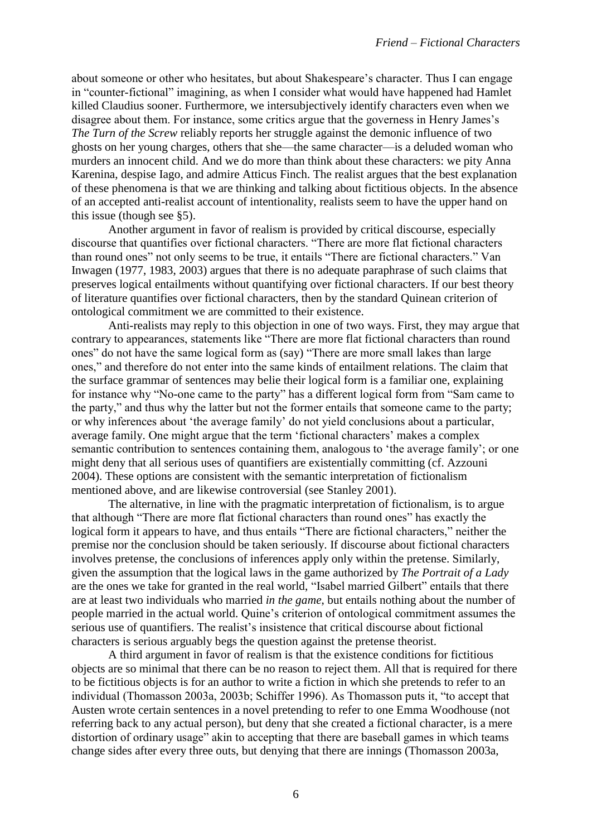about someone or other who hesitates, but about Shakespeare"s character. Thus I can engage in "counter-fictional" imagining, as when I consider what would have happened had Hamlet killed Claudius sooner. Furthermore, we intersubjectively identify characters even when we disagree about them. For instance, some critics argue that the governess in Henry James"s *The Turn of the Screw* reliably reports her struggle against the demonic influence of two ghosts on her young charges, others that she—the same character—is a deluded woman who murders an innocent child. And we do more than think about these characters: we pity Anna Karenina, despise Iago, and admire Atticus Finch. The realist argues that the best explanation of these phenomena is that we are thinking and talking about fictitious objects. In the absence of an accepted anti-realist account of intentionality, realists seem to have the upper hand on this issue (though see §5).

Another argument in favor of realism is provided by critical discourse, especially discourse that quantifies over fictional characters. "There are more flat fictional characters than round ones" not only seems to be true, it entails "There are fictional characters." Van Inwagen (1977, 1983, 2003) argues that there is no adequate paraphrase of such claims that preserves logical entailments without quantifying over fictional characters. If our best theory of literature quantifies over fictional characters, then by the standard Quinean criterion of ontological commitment we are committed to their existence.

Anti-realists may reply to this objection in one of two ways. First, they may argue that contrary to appearances, statements like "There are more flat fictional characters than round ones" do not have the same logical form as (say) "There are more small lakes than large ones," and therefore do not enter into the same kinds of entailment relations. The claim that the surface grammar of sentences may belie their logical form is a familiar one, explaining for instance why "No-one came to the party" has a different logical form from "Sam came to the party," and thus why the latter but not the former entails that someone came to the party; or why inferences about "the average family" do not yield conclusions about a particular, average family. One might argue that the term 'fictional characters' makes a complex semantic contribution to sentences containing them, analogous to 'the average family'; or one might deny that all serious uses of quantifiers are existentially committing (cf. Azzouni 2004). These options are consistent with the semantic interpretation of fictionalism mentioned above, and are likewise controversial (see Stanley 2001).

The alternative, in line with the pragmatic interpretation of fictionalism, is to argue that although "There are more flat fictional characters than round ones" has exactly the logical form it appears to have, and thus entails "There are fictional characters," neither the premise nor the conclusion should be taken seriously. If discourse about fictional characters involves pretense, the conclusions of inferences apply only within the pretense. Similarly, given the assumption that the logical laws in the game authorized by *The Portrait of a Lady* are the ones we take for granted in the real world, "Isabel married Gilbert" entails that there are at least two individuals who married *in the game*, but entails nothing about the number of people married in the actual world. Quine"s criterion of ontological commitment assumes the serious use of quantifiers. The realist's insistence that critical discourse about fictional characters is serious arguably begs the question against the pretense theorist.

A third argument in favor of realism is that the existence conditions for fictitious objects are so minimal that there can be no reason to reject them. All that is required for there to be fictitious objects is for an author to write a fiction in which she pretends to refer to an individual (Thomasson 2003a, 2003b; Schiffer 1996). As Thomasson puts it, "to accept that Austen wrote certain sentences in a novel pretending to refer to one Emma Woodhouse (not referring back to any actual person), but deny that she created a fictional character, is a mere distortion of ordinary usage" akin to accepting that there are baseball games in which teams change sides after every three outs, but denying that there are innings (Thomasson 2003a,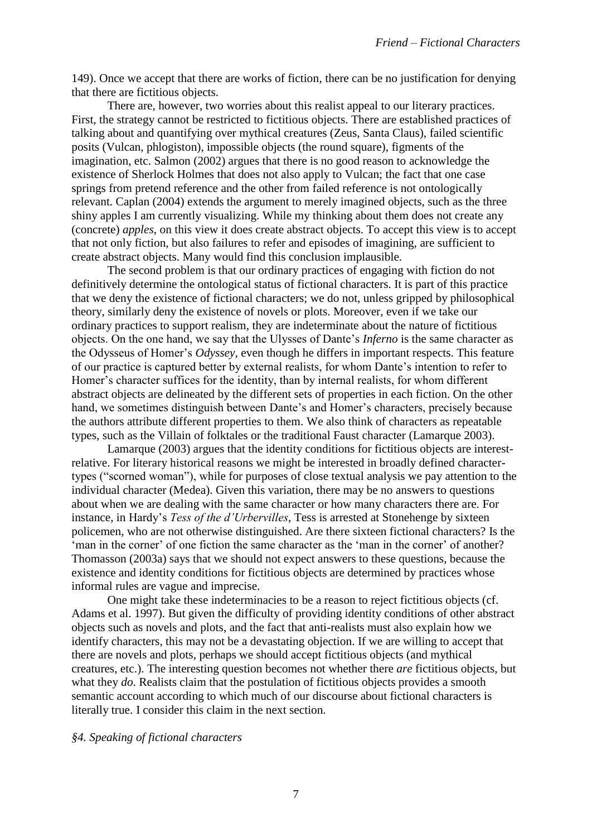149). Once we accept that there are works of fiction, there can be no justification for denying that there are fictitious objects.

There are, however, two worries about this realist appeal to our literary practices. First, the strategy cannot be restricted to fictitious objects. There are established practices of talking about and quantifying over mythical creatures (Zeus, Santa Claus), failed scientific posits (Vulcan, phlogiston), impossible objects (the round square), figments of the imagination, etc. Salmon (2002) argues that there is no good reason to acknowledge the existence of Sherlock Holmes that does not also apply to Vulcan; the fact that one case springs from pretend reference and the other from failed reference is not ontologically relevant. Caplan (2004) extends the argument to merely imagined objects, such as the three shiny apples I am currently visualizing. While my thinking about them does not create any (concrete) *apples*, on this view it does create abstract objects. To accept this view is to accept that not only fiction, but also failures to refer and episodes of imagining, are sufficient to create abstract objects. Many would find this conclusion implausible.

The second problem is that our ordinary practices of engaging with fiction do not definitively determine the ontological status of fictional characters. It is part of this practice that we deny the existence of fictional characters; we do not, unless gripped by philosophical theory, similarly deny the existence of novels or plots. Moreover, even if we take our ordinary practices to support realism, they are indeterminate about the nature of fictitious objects. On the one hand, we say that the Ulysses of Dante"s *Inferno* is the same character as the Odysseus of Homer"s *Odyssey*, even though he differs in important respects. This feature of our practice is captured better by external realists, for whom Dante"s intention to refer to Homer's character suffices for the identity, than by internal realists, for whom different abstract objects are delineated by the different sets of properties in each fiction. On the other hand, we sometimes distinguish between Dante's and Homer's characters, precisely because the authors attribute different properties to them. We also think of characters as repeatable types, such as the Villain of folktales or the traditional Faust character (Lamarque 2003).

Lamarque (2003) argues that the identity conditions for fictitious objects are interestrelative. For literary historical reasons we might be interested in broadly defined charactertypes ("scorned woman"), while for purposes of close textual analysis we pay attention to the individual character (Medea). Given this variation, there may be no answers to questions about when we are dealing with the same character or how many characters there are. For instance, in Hardy"s *Tess of the d'Urbervilles*, Tess is arrested at Stonehenge by sixteen policemen, who are not otherwise distinguished. Are there sixteen fictional characters? Is the "man in the corner" of one fiction the same character as the "man in the corner" of another? Thomasson (2003a) says that we should not expect answers to these questions, because the existence and identity conditions for fictitious objects are determined by practices whose informal rules are vague and imprecise.

One might take these indeterminacies to be a reason to reject fictitious objects (cf. Adams et al. 1997). But given the difficulty of providing identity conditions of other abstract objects such as novels and plots, and the fact that anti-realists must also explain how we identify characters, this may not be a devastating objection. If we are willing to accept that there are novels and plots, perhaps we should accept fictitious objects (and mythical creatures, etc.). The interesting question becomes not whether there *are* fictitious objects, but what they *do*. Realists claim that the postulation of fictitious objects provides a smooth semantic account according to which much of our discourse about fictional characters is literally true. I consider this claim in the next section.

### *§4. Speaking of fictional characters*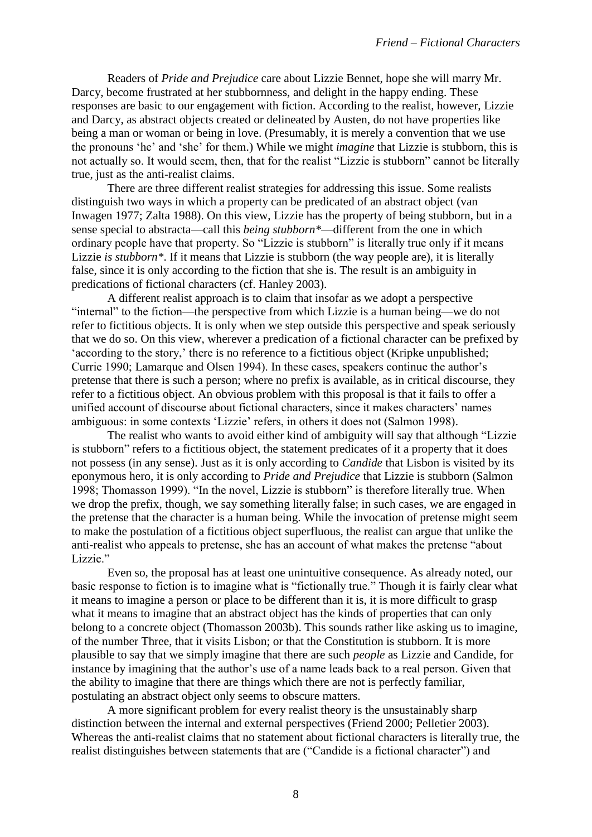Readers of *Pride and Prejudice* care about Lizzie Bennet, hope she will marry Mr. Darcy, become frustrated at her stubbornness, and delight in the happy ending. These responses are basic to our engagement with fiction. According to the realist, however, Lizzie and Darcy, as abstract objects created or delineated by Austen, do not have properties like being a man or woman or being in love. (Presumably, it is merely a convention that we use the pronouns "he" and "she" for them.) While we might *imagine* that Lizzie is stubborn, this is not actually so. It would seem, then, that for the realist "Lizzie is stubborn" cannot be literally true, just as the anti-realist claims.

There are three different realist strategies for addressing this issue. Some realists distinguish two ways in which a property can be predicated of an abstract object (van Inwagen 1977; Zalta 1988). On this view, Lizzie has the property of being stubborn, but in a sense special to abstracta—call this *being stubborn\**—different from the one in which ordinary people have that property. So "Lizzie is stubborn" is literally true only if it means Lizzie *is stubborn\**. If it means that Lizzie is stubborn (the way people are), it is literally false, since it is only according to the fiction that she is. The result is an ambiguity in predications of fictional characters (cf. Hanley 2003).

A different realist approach is to claim that insofar as we adopt a perspective "internal" to the fiction—the perspective from which Lizzie is a human being—we do not refer to fictitious objects. It is only when we step outside this perspective and speak seriously that we do so. On this view, wherever a predication of a fictional character can be prefixed by 'according to the story,' there is no reference to a fictitious object (Kripke unpublished; Currie 1990; Lamarque and Olsen 1994). In these cases, speakers continue the author"s pretense that there is such a person; where no prefix is available, as in critical discourse, they refer to a fictitious object. An obvious problem with this proposal is that it fails to offer a unified account of discourse about fictional characters, since it makes characters' names ambiguous: in some contexts "Lizzie" refers, in others it does not (Salmon 1998).

The realist who wants to avoid either kind of ambiguity will say that although "Lizzie is stubborn" refers to a fictitious object, the statement predicates of it a property that it does not possess (in any sense). Just as it is only according to *Candide* that Lisbon is visited by its eponymous hero, it is only according to *Pride and Prejudice* that Lizzie is stubborn (Salmon 1998; Thomasson 1999). "In the novel, Lizzie is stubborn" is therefore literally true. When we drop the prefix, though, we say something literally false; in such cases, we are engaged in the pretense that the character is a human being. While the invocation of pretense might seem to make the postulation of a fictitious object superfluous, the realist can argue that unlike the anti-realist who appeals to pretense, she has an account of what makes the pretense "about Lizzie."

Even so, the proposal has at least one unintuitive consequence. As already noted, our basic response to fiction is to imagine what is "fictionally true." Though it is fairly clear what it means to imagine a person or place to be different than it is, it is more difficult to grasp what it means to imagine that an abstract object has the kinds of properties that can only belong to a concrete object (Thomasson 2003b). This sounds rather like asking us to imagine, of the number Three, that it visits Lisbon; or that the Constitution is stubborn. It is more plausible to say that we simply imagine that there are such *people* as Lizzie and Candide, for instance by imagining that the author's use of a name leads back to a real person. Given that the ability to imagine that there are things which there are not is perfectly familiar, postulating an abstract object only seems to obscure matters.

A more significant problem for every realist theory is the unsustainably sharp distinction between the internal and external perspectives (Friend 2000; Pelletier 2003). Whereas the anti-realist claims that no statement about fictional characters is literally true, the realist distinguishes between statements that are ("Candide is a fictional character") and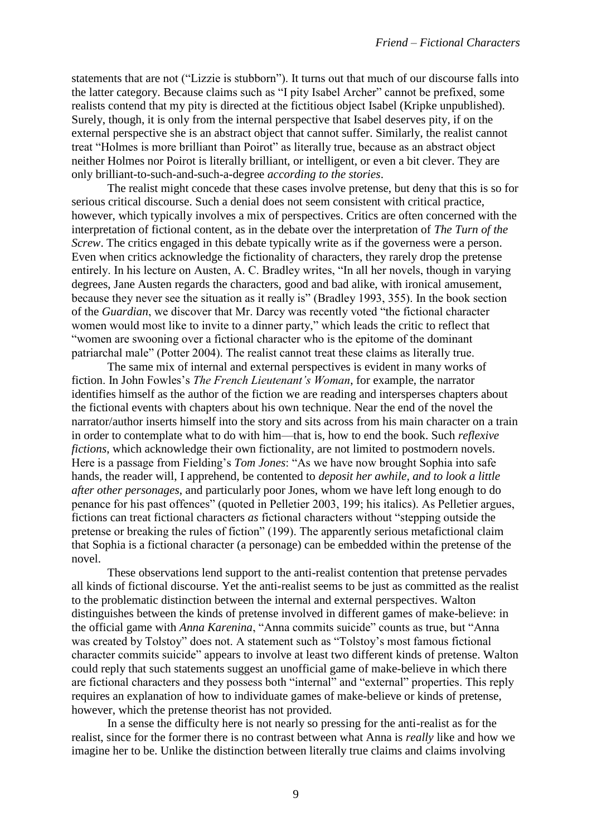statements that are not ("Lizzie is stubborn"). It turns out that much of our discourse falls into the latter category. Because claims such as "I pity Isabel Archer" cannot be prefixed, some realists contend that my pity is directed at the fictitious object Isabel (Kripke unpublished). Surely, though, it is only from the internal perspective that Isabel deserves pity, if on the external perspective she is an abstract object that cannot suffer. Similarly, the realist cannot treat "Holmes is more brilliant than Poirot" as literally true, because as an abstract object neither Holmes nor Poirot is literally brilliant, or intelligent, or even a bit clever. They are only brilliant-to-such-and-such-a-degree *according to the stories*.

The realist might concede that these cases involve pretense, but deny that this is so for serious critical discourse. Such a denial does not seem consistent with critical practice, however, which typically involves a mix of perspectives. Critics are often concerned with the interpretation of fictional content, as in the debate over the interpretation of *The Turn of the Screw*. The critics engaged in this debate typically write as if the governess were a person. Even when critics acknowledge the fictionality of characters, they rarely drop the pretense entirely. In his lecture on Austen, A. C. Bradley writes, "In all her novels, though in varying degrees, Jane Austen regards the characters, good and bad alike, with ironical amusement, because they never see the situation as it really is" (Bradley 1993, 355). In the book section of the *Guardian*, we discover that Mr. Darcy was recently voted "the fictional character women would most like to invite to a dinner party," which leads the critic to reflect that "women are swooning over a fictional character who is the epitome of the dominant patriarchal male" (Potter 2004). The realist cannot treat these claims as literally true.

The same mix of internal and external perspectives is evident in many works of fiction. In John Fowles"s *The French Lieutenant's Woman*, for example, the narrator identifies himself as the author of the fiction we are reading and intersperses chapters about the fictional events with chapters about his own technique. Near the end of the novel the narrator/author inserts himself into the story and sits across from his main character on a train in order to contemplate what to do with him—that is, how to end the book. Such *reflexive fictions*, which acknowledge their own fictionality, are not limited to postmodern novels. Here is a passage from Fielding"s *Tom Jones*: "As we have now brought Sophia into safe hands, the reader will, I apprehend, be contented to *deposit her awhile, and to look a little after other personages*, and particularly poor Jones, whom we have left long enough to do penance for his past offences" (quoted in Pelletier 2003, 199; his italics). As Pelletier argues, fictions can treat fictional characters *as* fictional characters without "stepping outside the pretense or breaking the rules of fiction" (199). The apparently serious metafictional claim that Sophia is a fictional character (a personage) can be embedded within the pretense of the novel.

These observations lend support to the anti-realist contention that pretense pervades all kinds of fictional discourse. Yet the anti-realist seems to be just as committed as the realist to the problematic distinction between the internal and external perspectives. Walton distinguishes between the kinds of pretense involved in different games of make-believe: in the official game with *Anna Karenina*, "Anna commits suicide" counts as true, but "Anna was created by Tolstoy" does not. A statement such as "Tolstoy"s most famous fictional character commits suicide" appears to involve at least two different kinds of pretense. Walton could reply that such statements suggest an unofficial game of make-believe in which there are fictional characters and they possess both "internal" and "external" properties. This reply requires an explanation of how to individuate games of make-believe or kinds of pretense, however, which the pretense theorist has not provided.

In a sense the difficulty here is not nearly so pressing for the anti-realist as for the realist, since for the former there is no contrast between what Anna is *really* like and how we imagine her to be. Unlike the distinction between literally true claims and claims involving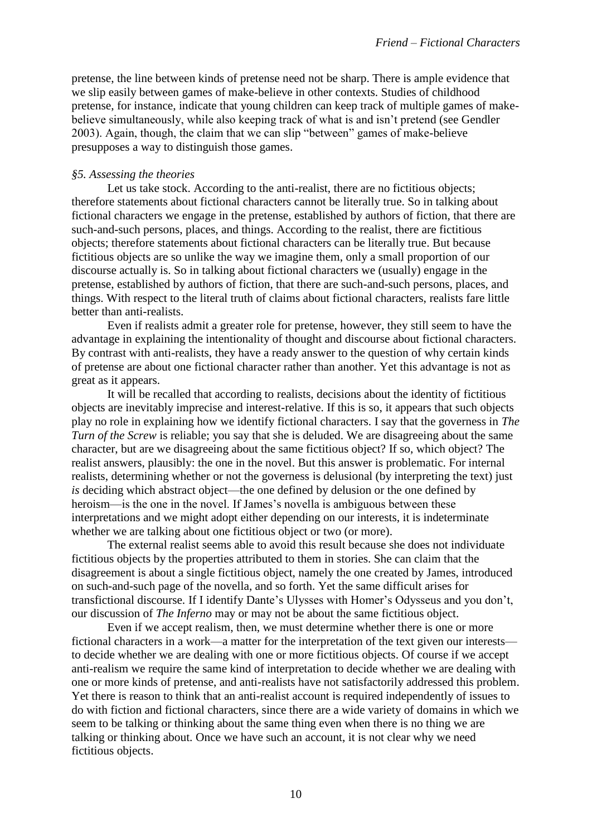pretense, the line between kinds of pretense need not be sharp. There is ample evidence that we slip easily between games of make-believe in other contexts. Studies of childhood pretense, for instance, indicate that young children can keep track of multiple games of makebelieve simultaneously, while also keeping track of what is and isn"t pretend (see Gendler 2003). Again, though, the claim that we can slip "between" games of make-believe presupposes a way to distinguish those games.

## *§5. Assessing the theories*

Let us take stock. According to the anti-realist, there are no fictitious objects; therefore statements about fictional characters cannot be literally true. So in talking about fictional characters we engage in the pretense, established by authors of fiction, that there are such-and-such persons, places, and things. According to the realist, there are fictitious objects; therefore statements about fictional characters can be literally true. But because fictitious objects are so unlike the way we imagine them, only a small proportion of our discourse actually is. So in talking about fictional characters we (usually) engage in the pretense, established by authors of fiction, that there are such-and-such persons, places, and things. With respect to the literal truth of claims about fictional characters, realists fare little better than anti-realists.

Even if realists admit a greater role for pretense, however, they still seem to have the advantage in explaining the intentionality of thought and discourse about fictional characters. By contrast with anti-realists, they have a ready answer to the question of why certain kinds of pretense are about one fictional character rather than another. Yet this advantage is not as great as it appears.

It will be recalled that according to realists, decisions about the identity of fictitious objects are inevitably imprecise and interest-relative. If this is so, it appears that such objects play no role in explaining how we identify fictional characters. I say that the governess in *The Turn of the Screw* is reliable; you say that she is deluded. We are disagreeing about the same character, but are we disagreeing about the same fictitious object? If so, which object? The realist answers, plausibly: the one in the novel. But this answer is problematic. For internal realists, determining whether or not the governess is delusional (by interpreting the text) just *is* deciding which abstract object—the one defined by delusion or the one defined by heroism—is the one in the novel. If James's novella is ambiguous between these interpretations and we might adopt either depending on our interests, it is indeterminate whether we are talking about one fictitious object or two (or more).

The external realist seems able to avoid this result because she does not individuate fictitious objects by the properties attributed to them in stories. She can claim that the disagreement is about a single fictitious object, namely the one created by James, introduced on such-and-such page of the novella, and so forth. Yet the same difficult arises for transfictional discourse. If I identify Dante's Ulysses with Homer's Odysseus and you don't, our discussion of *The Inferno* may or may not be about the same fictitious object.

Even if we accept realism, then, we must determine whether there is one or more fictional characters in a work—a matter for the interpretation of the text given our interests to decide whether we are dealing with one or more fictitious objects. Of course if we accept anti-realism we require the same kind of interpretation to decide whether we are dealing with one or more kinds of pretense, and anti-realists have not satisfactorily addressed this problem. Yet there is reason to think that an anti-realist account is required independently of issues to do with fiction and fictional characters, since there are a wide variety of domains in which we seem to be talking or thinking about the same thing even when there is no thing we are talking or thinking about. Once we have such an account, it is not clear why we need fictitious objects.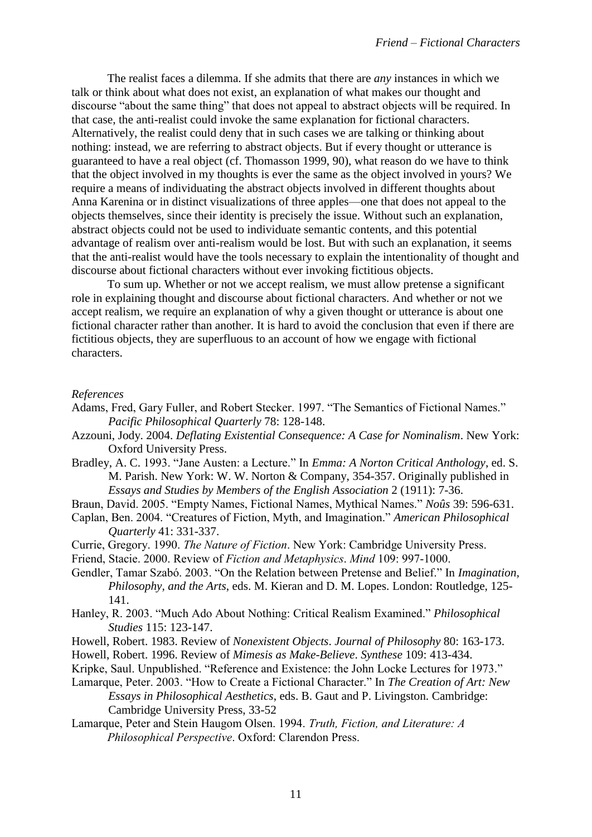The realist faces a dilemma. If she admits that there are *any* instances in which we talk or think about what does not exist, an explanation of what makes our thought and discourse "about the same thing" that does not appeal to abstract objects will be required. In that case, the anti-realist could invoke the same explanation for fictional characters. Alternatively, the realist could deny that in such cases we are talking or thinking about nothing: instead, we are referring to abstract objects. But if every thought or utterance is guaranteed to have a real object (cf. Thomasson 1999, 90), what reason do we have to think that the object involved in my thoughts is ever the same as the object involved in yours? We require a means of individuating the abstract objects involved in different thoughts about Anna Karenina or in distinct visualizations of three apples—one that does not appeal to the objects themselves, since their identity is precisely the issue. Without such an explanation, abstract objects could not be used to individuate semantic contents, and this potential advantage of realism over anti-realism would be lost. But with such an explanation, it seems that the anti-realist would have the tools necessary to explain the intentionality of thought and discourse about fictional characters without ever invoking fictitious objects.

To sum up. Whether or not we accept realism, we must allow pretense a significant role in explaining thought and discourse about fictional characters. And whether or not we accept realism, we require an explanation of why a given thought or utterance is about one fictional character rather than another. It is hard to avoid the conclusion that even if there are fictitious objects, they are superfluous to an account of how we engage with fictional characters.

## *References*

- Adams, Fred, Gary Fuller, and Robert Stecker. 1997. "The Semantics of Fictional Names." *Pacific Philosophical Quarterly* 78: 128-148.
- Azzouni, Jody. 2004. *Deflating Existential Consequence: A Case for Nominalism*. New York: Oxford University Press.
- Bradley, A. C. 1993. "Jane Austen: a Lecture." In *Emma: A Norton Critical Anthology*, ed. S. M. Parish. New York: W. W. Norton & Company, 354-357. Originally published in *Essays and Studies by Members of the English Association* 2 (1911): 7-36.
- Braun, David. 2005. "Empty Names, Fictional Names, Mythical Names." *Noûs* 39: 596-631.
- Caplan, Ben. 2004. "Creatures of Fiction, Myth, and Imagination." *American Philosophical Quarterly* 41: 331-337.
- Currie, Gregory. 1990. *The Nature of Fiction*. New York: Cambridge University Press.

Friend, Stacie. 2000. Review of *Fiction and Metaphysics*. *Mind* 109: 997-1000.

- Gendler, Tamar Szabó. 2003. "On the Relation between Pretense and Belief." In *Imagination, Philosophy, and the Arts*, eds. M. Kieran and D. M. Lopes. London: Routledge, 125- 141.
- Hanley, R. 2003. "Much Ado About Nothing: Critical Realism Examined." *Philosophical Studies* 115: 123-147.
- Howell, Robert. 1983. Review of *Nonexistent Objects*. *Journal of Philosophy* 80: 163-173.
- Howell, Robert. 1996. Review of *Mimesis as Make-Believe*. *Synthese* 109: 413-434.
- Kripke, Saul. Unpublished. "Reference and Existence: the John Locke Lectures for 1973."
- Lamarque, Peter. 2003. "How to Create a Fictional Character." In *The Creation of Art: New Essays in Philosophical Aesthetics*, eds. B. Gaut and P. Livingston. Cambridge: Cambridge University Press, 33-52
- Lamarque, Peter and Stein Haugom Olsen. 1994. *Truth, Fiction, and Literature: A Philosophical Perspective*. Oxford: Clarendon Press.